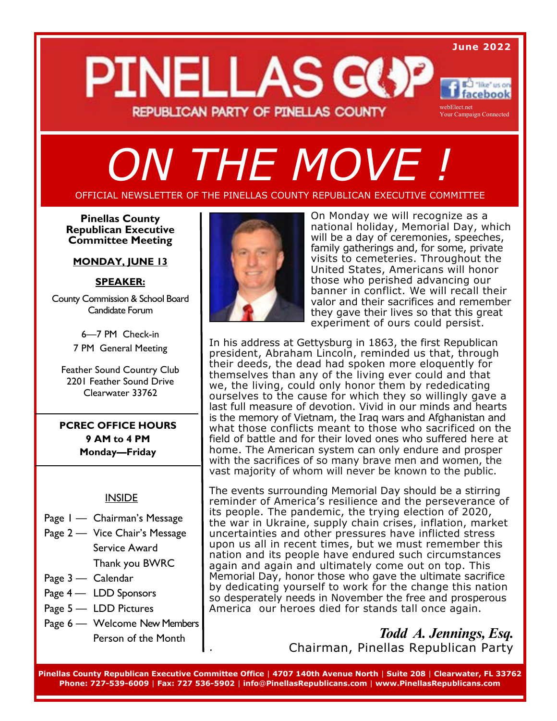## *ON THE MOVE !*

#### OFFICIAL NEWSLETTER OF THE PINELLAS COUNTY REPUBLICAN EXECUTIVE COMMITTEE

**Pinellas County Republican Executive Committee Meeting** 

#### **MONDAY, JUNE 13**

#### **SPEAKER:**

County Commission & School Board Candidate Forum

> 6—7 PM Check-in 7 PM General Meeting

Feather Sound Country Club 2201 Feather Sound Drive Clearwater 33762

**PCREC OFFICE HOURS 9 AM to 4 PM Monday—Friday** 

#### **INSIDE**

- Page 1 Chairman's Message
- Page 2 Vice Chair's Message Service Award Thank you BWRC
- Page 3 Calendar
- Page 4 LDD Sponsors
- Page 5 LDD Pictures
- Page 6 Welcome New Members Person of the Month



On Monday we will recognize as a national holiday, Memorial Day, which will be a day of ceremonies, speeches, family gatherings and, for some, private visits to cemeteries. Throughout the United States, Americans will honor those who perished advancing our banner in conflict. We will recall their valor and their sacrifices and remember they gave their lives so that this great experiment of ours could persist.

In his address at Gettysburg in 1863, the first Republican president, Abraham Lincoln, reminded us that, through their deeds, the dead had spoken more eloquently for themselves than any of the living ever could and that we, the living, could only honor them by rededicating ourselves to the cause for which they so willingly gave a last full measure of devotion. Vivid in our minds and hearts is the memory of Vietnam, the Iraq wars and Afghanistan and what those conflicts meant to those who sacrificed on the field of battle and for their loved ones who suffered here at home. The American system can only endure and prosper with the sacrifices of so many brave men and women, the vast majority of whom will never be known to the public.

The events surrounding Memorial Day should be a stirring reminder of America's resilience and the perseverance of its people. The pandemic, the trying election of 2020, the war in Ukraine, supply chain crises, inflation, market uncertainties and other pressures have inflicted stress upon us all in recent times, but we must remember this nation and its people have endured such circumstances again and again and ultimately come out on top. This Memorial Day, honor those who gave the ultimate sacrifice by dedicating yourself to work for the change this nation so desperately needs in November the free and prosperous America our heroes died for stands tall once again.

> *Todd A. Jennings, Esq.* Chairman, Pinellas Republican Party

**Pinellas County Republican Executive Committee Office** | **4707 140th Avenue North** | **Suite 208** | **Clearwater, FL 33762 Phone: 727-539-6009** | **Fax: 727 536-5902** | **info**@**PinellasRepublicans.com** | **www.PinellasRepublicans.com** 

.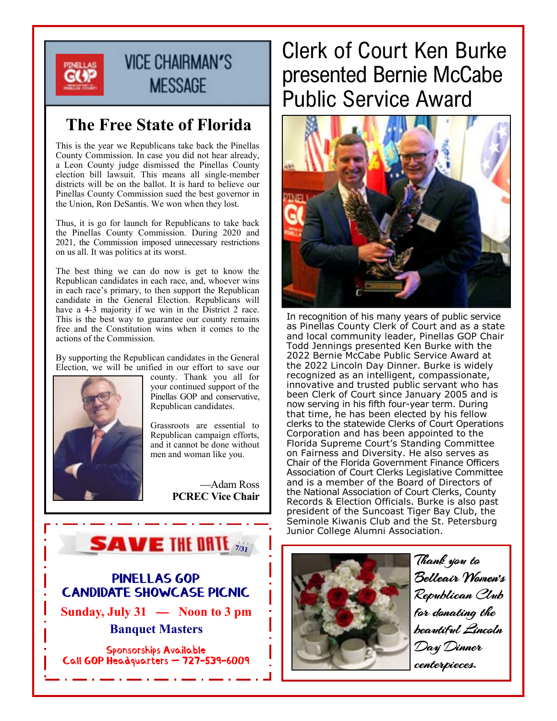

## **VICE CHAIRMAN'S MESSAGE**

## **The Free State of Florida**

This is the year we Republicans take back the Pinellas County Commission. In case you did not hear already, a Leon County judge dismissed the Pinellas County election bill lawsuit. This means all single-member districts will be on the ballot. It is hard to believe our Pinellas County Commission sued the best governor in the Union, Ron DeSantis. We won when they lost.

Thus, it is go for launch for Republicans to take back the Pinellas County Commission. During 2020 and 2021, the Commission imposed unnecessary restrictions on us all. It was politics at its worst.

The best thing we can do now is get to know the Republican candidates in each race, and, whoever wins in each race's primary, to then support the Republican candidate in the General Election. Republicans will have a 4-3 majority if we win in the District 2 race. This is the best way to guarantee our county remains free and the Constitution wins when it comes to the actions of the Commission.

By supporting the Republican candidates in the General Election, we will be unified in our effort to save our



county. Thank you all for your continued support of the Pinellas GOP and conservative, Republican candidates.

Grassroots are essential to Republican campaign efforts, and it cannot be done without men and woman like you.

> —Adam Ross **PCREC Vice Chair**



#### PINELLAS GOP CANDIDATE SHOWCASE PICNIC

**Sunday, July 31 — Noon to 3 pm Banquet Masters**

Sponsorships Available Call GOP Headquarters — 727-539-6009

## Clerk of Court Ken Burke presented Bernie McCabe Public Service Award



In recognition of his many years of public service as Pinellas County Clerk of Court and as a state and local community leader, Pinellas GOP Chair Todd Jennings presented Ken Burke with the 2022 Bernie McCabe Public Service Award at the 2022 Lincoln Day Dinner. Burke is widely recognized as an intelligent, compassionate, innovative and trusted public servant who has been Clerk of Court since January 2005 and is now serving in his fifth four-year term. During that time, he has been elected by his fellow clerks to the statewide Clerks of Court Operations Corporation and has been appointed to the Florida Supreme Court's Standing Committee on Fairness and Diversity. He also serves as Chair of the Florida Government Finance Officers Association of Court Clerks Legislative Committee and is a member of the Board of Directors of the National Association of Court Clerks, County Records & Election Officials. Burke is also past president of the Suncoast Tiger Bay Club, the Seminole Kiwanis Club and the St. Petersburg Junior College Alumni Association.



Thank you to Belleair Women's Republican Club for donating the beautiful Lincoln Day Dinner centerpieces.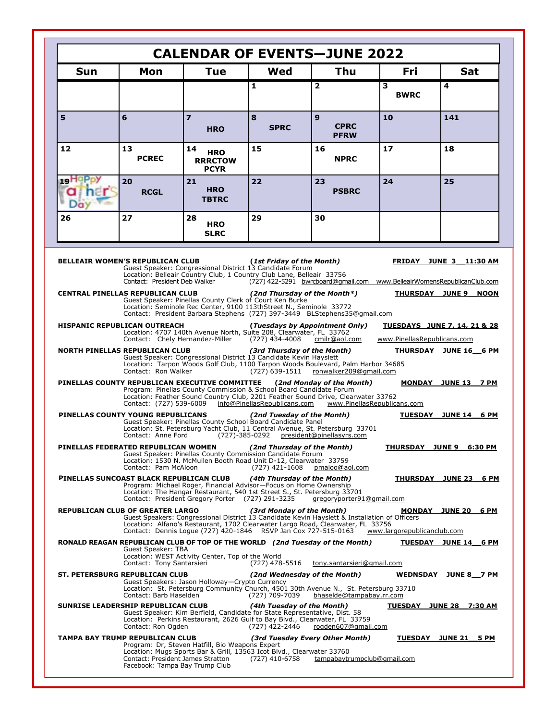| <b>Sun</b> | Mon                                                                                                                                    | <b>Tue</b>                                                                                                                                                                                                                                                        | Wed                                                               | <b>Thu</b>                                                                                                                                                                                                                                 | <b>Fri</b>                  | <b>Sat</b>                                                       |
|------------|----------------------------------------------------------------------------------------------------------------------------------------|-------------------------------------------------------------------------------------------------------------------------------------------------------------------------------------------------------------------------------------------------------------------|-------------------------------------------------------------------|--------------------------------------------------------------------------------------------------------------------------------------------------------------------------------------------------------------------------------------------|-----------------------------|------------------------------------------------------------------|
|            |                                                                                                                                        |                                                                                                                                                                                                                                                                   | 1                                                                 | $\overline{2}$                                                                                                                                                                                                                             | 3<br><b>BWRC</b>            | 4                                                                |
| 5          | 6                                                                                                                                      | $\overline{z}$<br><b>HRO</b>                                                                                                                                                                                                                                      | 8<br><b>SPRC</b>                                                  | $\mathbf{9}$<br><b>CPRC</b><br><b>PFRW</b>                                                                                                                                                                                                 | 10                          | 141                                                              |
| 12         | 13<br><b>PCREC</b>                                                                                                                     | 14<br><b>HRO</b><br><b>RRRCTOW</b><br><b>PCYR</b>                                                                                                                                                                                                                 | 15                                                                | 16<br><b>NPRC</b>                                                                                                                                                                                                                          | 17                          | 18                                                               |
| 19HOP      | 20<br><b>RCGL</b>                                                                                                                      | 21<br><b>HRO</b><br><b>TBTRC</b>                                                                                                                                                                                                                                  | 22                                                                | 23<br><b>PSBRC</b>                                                                                                                                                                                                                         | 24                          | 25                                                               |
| 26         | 27                                                                                                                                     | 28<br><b>HRO</b><br><b>SLRC</b>                                                                                                                                                                                                                                   | 29                                                                | 30                                                                                                                                                                                                                                         |                             |                                                                  |
|            | <b>BELLEAIR WOMEN'S REPUBLICAN CLUB</b><br>Contact: President Deb Walker<br><b>CENTRAL PINELLAS REPUBLICAN CLUB</b>                    | Guest Speaker: Congressional District 13 Candidate Forum<br>Location: Belleair Country Club, 1 Country Club Lane, Belleair 33756<br>Guest Speaker: Pinellas County Clerk of Court Ken Burke<br>Location: Seminole Rec Center, 9100 113thStreet N., Seminole 33772 | (1st Friday of the Month)<br>(2nd Thursday of the Month*)         | (727) 422-5291 bwrcboard@gmail.com www.BelleairWomensRepublicanClub.com                                                                                                                                                                    |                             | FRIDAY JUNE 3 11:30 AM<br>THURSDAY JUNE 9 NOON                   |
|            | <b>HISPANIC REPUBLICAN OUTREACH</b><br>Contact: Chely Hernandez-Miller<br>NORTH PINELLAS REPUBLICAN CLUB<br>Contact: Ron Walker        | Location: 4707 140th Avenue North, Suite 208, Clearwater, FL 33762<br>Guest Speaker: Congressional District 13 Candidate Kevin Hayslett                                                                                                                           | $(727)$ 434-4008<br>(3rd Thursday of the Month)<br>(727) 639-1511 | Contact: President Barbara Stephens (727) 397-3449 BLStephens35@gmail.com<br>(Tuesdays by Appointment Only)<br>cmilr@aol.com<br>Location: Tarpon Woods Golf Club, 1100 Tarpon Woods Boulevard, Palm Harbor 34685<br>ronwalker209@gmail.com | www.PinellasRepublicans.com | <b>TUESDAYS JUNE 7, 14, 21 &amp; 28</b><br>THURSDAY JUNE 16 6 PM |
|            | PINELLAS COUNTY REPUBLICAN EXECUTIVE COMMITTEE (2nd Monday of the Month)<br>Contact: (727) 539-6009                                    | Program: Pinellas County Commission & School Board Candidate Forum                                                                                                                                                                                                | info@PinellasRepublicans.com                                      | Location: Feather Sound Country Club, 2201 Feather Sound Drive, Clearwater 33762                                                                                                                                                           | www.PinellasRepublicans.com | MONDAY JUNE 13 7 PM                                              |
|            | PINELLAS COUNTY YOUNG REPUBLICANS<br>Contact: Anne Ford                                                                                | Guest Speaker: Pinellas County School Board Candidate Panel                                                                                                                                                                                                       | (2nd Tuesday of the Month)                                        | Location: St. Petersburg Yacht Club, 11 Central Avenue, St. Petersburg 33701<br>(727)-385-0292 president@pinellasyrs.com                                                                                                                   |                             | TUESDAY JUNE 14 6 PM                                             |
|            | PINELLAS FEDERATED REPUBLICAN WOMEN<br>Contact: Pam McAloon                                                                            | Guest Speaker: Pinellas County Commission Candidate Forum<br>Location: 1530 N. McMullen Booth Road Unit D-12, Clearwater 33759                                                                                                                                    | (2nd Thursday of the Month)<br>$(727)$ 421-1608                   | pmaloo@aol.com                                                                                                                                                                                                                             |                             | <b>THURSDAY JUNE 9 6:30 PM</b>                                   |
|            | PINELLAS SUNCOAST BLACK REPUBLICAN CLUB                                                                                                | Program: Michael Roger, Financial Advisor-Focus on Home Ownership<br>Location: The Hangar Restaurant, 540 1st Street S., St. Petersburg 33701<br>Contact: President Gregory Porter (727) 291-3235                                                                 | (4th Thursday of the Month)                                       | gregoryporter91@gmail.com                                                                                                                                                                                                                  |                             | THURSDAY JUNE 23 6 PM                                            |
|            | <b>REPUBLICAN CLUB OF GREATER LARGO</b>                                                                                                | Contact: Dennis Logue (727) 420-1846 RSVP Jan Cox 727-515-0163                                                                                                                                                                                                    | (3rd Monday of the Month)                                         | Guest Speakers: Congressional District 13 Candidate Kevin Hayslett & Installation of Officers<br>Location: Alfano's Restaurant, 1702 Clearwater Largo Road, Clearwater, FL 33756                                                           | www.largorepublicanclub.com | MONDAY JUNE 20_6 PM                                              |
|            | RONALD REAGAN REPUBLICAN CLUB OF TOP OF THE WORLD (2nd Tuesday of the Month)<br><b>Guest Speaker: TBA</b><br>Contact: Tony Santarsieri | Location: WEST Activity Center, Top of the World                                                                                                                                                                                                                  | (727) 478-5516                                                    | tony.santarsieri@gmail.com                                                                                                                                                                                                                 |                             | TUESDAY JUNE 14 6 PM                                             |
|            | ST. PETERSBURG REPUBLICAN CLUB<br>Contact: Barb Haselden                                                                               | Guest Speakers: Jason Holloway-Crypto Currency                                                                                                                                                                                                                    | (2nd Wednesday of the Month)<br>(727) 709-7039                    | Location: St. Petersburg Community Church, 4501 30th Avenue N., St. Petersburg 33710<br>bhaselde@tampabay.rr.com                                                                                                                           |                             | WEDNSDAY JUNE 8 7 PM                                             |
|            | SUNRISE LEADERSHIP REPUBLICAN CLUB                                                                                                     | Guest Speaker: Kim Berfield, Candidate for State Representative, Dist. 58                                                                                                                                                                                         | (4th Tuesday of the Month)                                        |                                                                                                                                                                                                                                            |                             | <u>TUESDAY JUNE 28 7:30 AM</u>                                   |
|            | Contact: Ron Ogden                                                                                                                     | Location: Perkins Restaurant, 2626 Gulf to Bay Blvd., Clearwater, FL 33759                                                                                                                                                                                        | (727) 422-2446                                                    | rogden607@gmail.com                                                                                                                                                                                                                        |                             |                                                                  |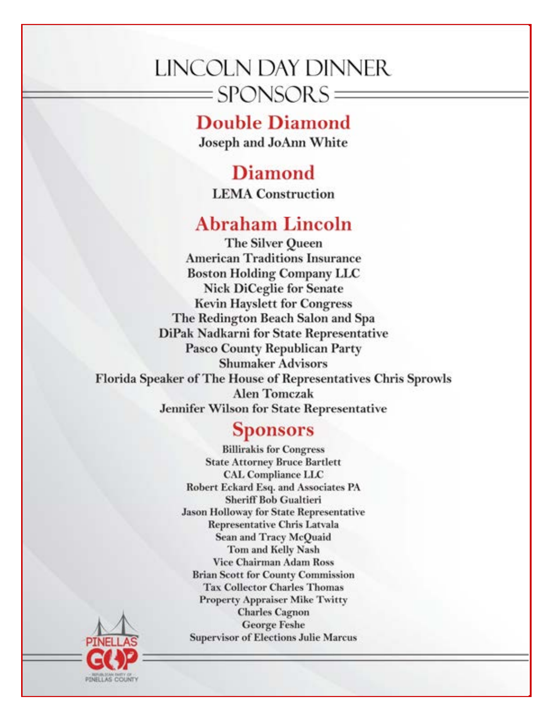## LINCOLN DAY DINNER  $=$ SPONSORS $=$

## **Double Diamond**

Joseph and JoAnn White

**Diamond LEMA** Construction

## **Abraham Lincoln**

The Silver Queen **American Traditions Insurance Boston Holding Company LLC Nick DiCeglie for Senate Kevin Hayslett for Congress** The Redington Beach Salon and Spa DiPak Nadkarni for State Representative **Pasco County Republican Party Shumaker Advisors** Florida Speaker of The House of Representatives Chris Sprowls **Alen Tomczak** Jennifer Wilson for State Representative

## **Sponsors**

**Billirakis for Congress State Attorney Bruce Bartlett CAL Compliance LLC** Robert Eckard Esq. and Associates PA **Sheriff Bob Gualtieri Jason Holloway for State Representative Representative Chris Latvala Sean and Tracy McQuaid** Tom and Kelly Nash **Vice Chairman Adam Ross Brian Scott for County Commission Tax Collector Charles Thomas Property Appraiser Mike Twitty Charles Cagnon George Feshe Supervisor of Elections Julie Marcus** 

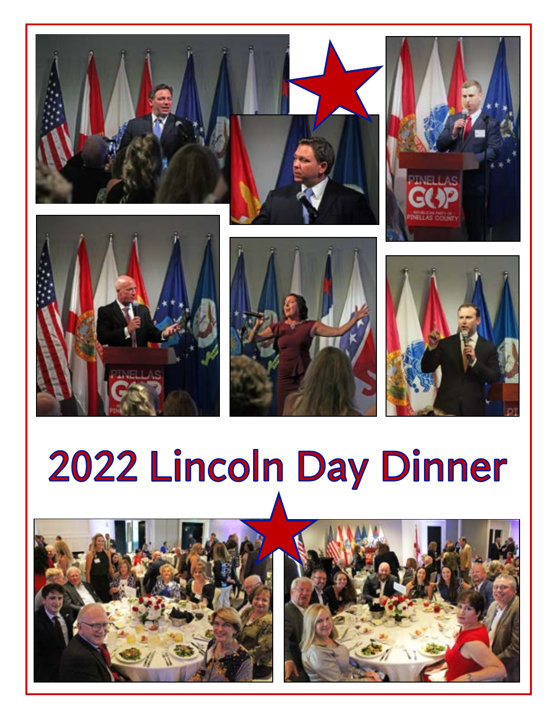

# 2022 Lincoln Day Dinner